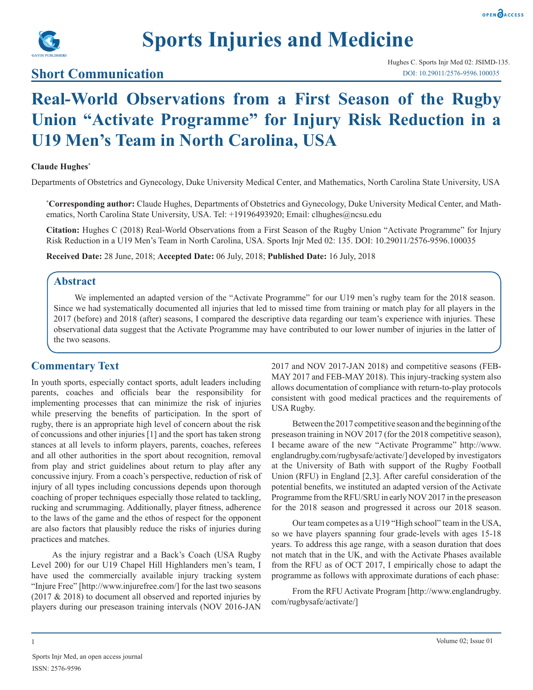

# **Sports Injuries and Medicine**

### **Short Communication**

## **Real-World Observations from a First Season of the Rugby Union "Activate Programme" for Injury Risk Reduction in a U19 Men's Team in North Carolina, USA**

#### **Claude Hughes\***

Departments of Obstetrics and Gynecology, Duke University Medical Center, and Mathematics, North Carolina State University, USA

**\* Corresponding author:** Claude Hughes, Departments of Obstetrics and Gynecology, Duke University Medical Center, and Mathematics, North Carolina State University, USA. Tel: +19196493920; Email: clhughes@ncsu.edu

**Citation:** Hughes C (2018) Real-World Observations from a First Season of the Rugby Union "Activate Programme" for Injury Risk Reduction in a U19 Men's Team in North Carolina, USA. Sports Injr Med 02: 135. DOI: 10.29011/2576-9596.100035

**Received Date:** 28 June, 2018; **Accepted Date:** 06 July, 2018; **Published Date:** 16 July, 2018

#### **Abstract**

We implemented an adapted version of the "Activate Programme" for our U19 men's rugby team for the 2018 season. Since we had systematically documented all injuries that led to missed time from training or match play for all players in the 2017 (before) and 2018 (after) seasons, I compared the descriptive data regarding our team's experience with injuries. These observational data suggest that the Activate Programme may have contributed to our lower number of injuries in the latter of the two seasons.

#### **Commentary Text**

In youth sports, especially contact sports, adult leaders including parents, coaches and officials bear the responsibility for implementing processes that can minimize the risk of injuries while preserving the benefits of participation. In the sport of rugby, there is an appropriate high level of concern about the risk of concussions and other injuries [1] and the sport has taken strong stances at all levels to inform players, parents, coaches, referees and all other authorities in the sport about recognition, removal from play and strict guidelines about return to play after any concussive injury. From a coach's perspective, reduction of risk of injury of all types including concussions depends upon thorough coaching of proper techniques especially those related to tackling, rucking and scrummaging. Additionally, player fitness, adherence to the laws of the game and the ethos of respect for the opponent are also factors that plausibly reduce the risks of injuries during practices and matches.

As the injury registrar and a Back's Coach (USA Rugby Level 200) for our U19 Chapel Hill Highlanders men's team, I have used the commercially available injury tracking system "Injure Free" [http://www.injurefree.com/] for the last two seasons (2017 & 2018) to document all observed and reported injuries by players during our preseason training intervals (NOV 2016-JAN

2017 and NOV 2017-JAN 2018) and competitive seasons (FEB-MAY 2017 and FEB-MAY 2018). This injury-tracking system also allows documentation of compliance with return-to-play protocols consistent with good medical practices and the requirements of USA Rugby.

Between the 2017 competitive season and the beginning of the preseason training in NOV 2017 (for the 2018 competitive season), I became aware of the new "Activate Programme" http://www. englandrugby.com/rugbysafe/activate/] developed by investigators at the University of Bath with support of the Rugby Football Union (RFU) in England [2,3]. After careful consideration of the potential benefits, we instituted an adapted version of the Activate Programme from the RFU/SRU in early NOV 2017 in the preseason for the 2018 season and progressed it across our 2018 season.

Our team competes as a U19 "High school" team in the USA, so we have players spanning four grade-levels with ages 15-18 years. To address this age range, with a season duration that does not match that in the UK, and with the Activate Phases available from the RFU as of OCT 2017, I empirically chose to adapt the programme as follows with approximate durations of each phase:

From the RFU Activate Program [http://www.englandrugby. com/rugbysafe/activate/]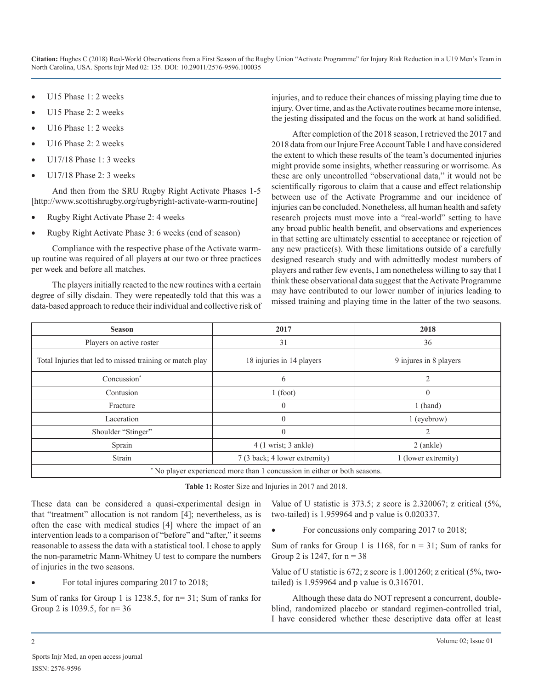**Citation:** Hughes C (2018) Real-World Observations from a First Season of the Rugby Union "Activate Programme" for Injury Risk Reduction in a U19 Men's Team in North Carolina, USA. Sports Injr Med 02: 135. DOI: 10.29011/2576-9596.100035

- U15 Phase 1: 2 weeks
- U15 Phase 2: 2 weeks
- U16 Phase 1: 2 weeks
- U16 Phase 2: 2 weeks
- U17/18 Phase 1: 3 weeks
- $U17/18$  Phase 2: 3 weeks

And then from the SRU Rugby Right Activate Phases 1-5 [http://www.scottishrugby.org/rugbyright-activate-warm-routine]

- Rugby Right Activate Phase 2: 4 weeks
- Rugby Right Activate Phase 3: 6 weeks (end of season)

Compliance with the respective phase of the Activate warmup routine was required of all players at our two or three practices per week and before all matches.

The players initially reacted to the new routines with a certain degree of silly disdain. They were repeatedly told that this was a data-based approach to reduce their individual and collective risk of injuries, and to reduce their chances of missing playing time due to injury. Over time, and as the Activate routines became more intense, the jesting dissipated and the focus on the work at hand solidified.

After completion of the 2018 season, I retrieved the 2017 and 2018 data from our Injure Free Account Table 1 and have considered the extent to which these results of the team's documented injuries might provide some insights, whether reassuring or worrisome. As these are only uncontrolled "observational data," it would not be scientifically rigorous to claim that a cause and effect relationship between use of the Activate Programme and our incidence of injuries can be concluded. Nonetheless, all human health and safety research projects must move into a "real-world" setting to have any broad public health benefit, and observations and experiences in that setting are ultimately essential to acceptance or rejection of any new practice(s). With these limitations outside of a carefully designed research study and with admittedly modest numbers of players and rather few events, I am nonetheless willing to say that I think these observational data suggest that the Activate Programme may have contributed to our lower number of injuries leading to missed training and playing time in the latter of the two seasons.

| <b>Season</b>                                                             | 2017                                  | 2018                   |
|---------------------------------------------------------------------------|---------------------------------------|------------------------|
| Players on active roster                                                  | 31                                    | 36                     |
| Total Injuries that led to missed training or match play                  | 18 injuries in 14 players             | 9 injures in 8 players |
| Concussion*                                                               | 6                                     | 2                      |
| Contusion                                                                 | 1(foot)                               | $\theta$               |
| Fracture                                                                  | $\theta$                              | $1$ (hand)             |
| Laceration                                                                | $\theta$                              | 1 (eyebrow)            |
| Shoulder "Stinger"                                                        | $\theta$                              | $\overline{c}$         |
| Sprain                                                                    | $4(1 \text{ wrist}; 3 \text{ ankle})$ | $2$ (ankle)            |
| Strain                                                                    | 7 (3 back; 4 lower extremity)         | 1 (lower extremity)    |
| * No player experienced more than 1 concussion in either or both seasons. |                                       |                        |

**Table 1:** Roster Size and Injuries in 2017 and 2018.

These data can be considered a quasi-experimental design in that "treatment" allocation is not random [4]; nevertheless, as is often the case with medical studies [4] where the impact of an intervention leads to a comparison of "before" and "after," it seems reasonable to assess the data with a statistical tool. I chose to apply the non-parametric Mann-Whitney U test to compare the numbers of injuries in the two seasons.

For total injures comparing 2017 to 2018;

Sum of ranks for Group 1 is 1238.5, for n= 31; Sum of ranks for Group 2 is 1039.5, for n= 36

Value of U statistic is 373.5; z score is 2.320067; z critical (5%, two-tailed) is 1.959964 and p value is 0.020337.

For concussions only comparing 2017 to 2018;

Sum of ranks for Group 1 is 1168, for  $n = 31$ ; Sum of ranks for Group 2 is 1247, for  $n = 38$ 

Value of U statistic is 672; z score is 1.001260; z critical (5%, twotailed) is 1.959964 and p value is 0.316701.

Although these data do NOT represent a concurrent, doubleblind, randomized placebo or standard regimen-controlled trial, I have considered whether these descriptive data offer at least